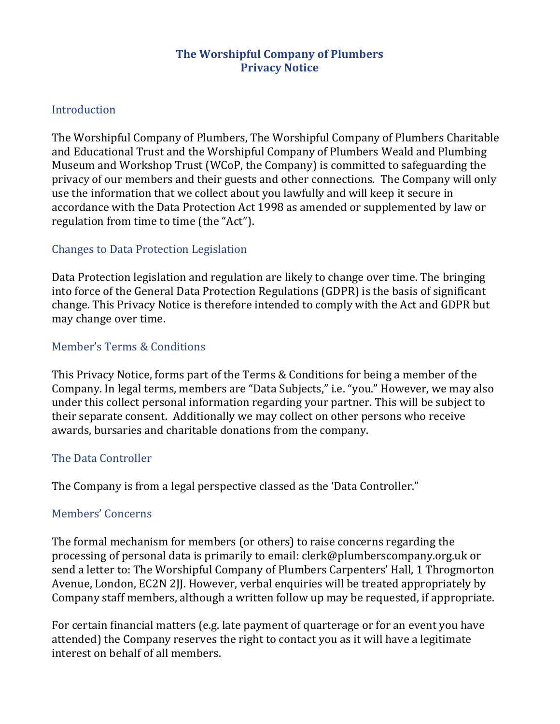### **The Worshipful Company of Plumbers Privacy Notice**

### Introduction

The Worshipful Company of Plumbers, The Worshipful Company of Plumbers Charitable and Educational Trust and the Worshipful Company of Plumbers Weald and Plumbing Museum and Workshop Trust (WCoP, the Company) is committed to safeguarding the privacy of our members and their guests and other connections. The Company will only use the information that we collect about you lawfully and will keep it secure in accordance with the Data Protection Act 1998 as amended or supplemented by law or regulation from time to time (the "Act").

## Changes to Data Protection Legislation

Data Protection legislation and regulation are likely to change over time. The bringing into force of the General Data Protection Regulations (GDPR) is the basis of significant change. This Privacy Notice is therefore intended to comply with the Act and GDPR but may change over time.

### Member's Terms & Conditions

This Privacy Notice, forms part of the Terms & Conditions for being a member of the Company. In legal terms, members are "Data Subjects," i.e. "you." However, we may also under this collect personal information regarding your partner. This will be subject to their separate consent. Additionally we may collect on other persons who receive awards, bursaries and charitable donations from the company.

## The Data Controller

The Company is from a legal perspective classed as the 'Data Controller."

#### Members' Concerns

The formal mechanism for members (or others) to raise concerns regarding the processing of personal data is primarily to email: clerk@plumberscompany.org.uk or send a letter to: The Worshipful Company of Plumbers Carpenters' Hall, 1 Throgmorton Avenue, London, EC2N 2JJ. However, verbal enquiries will be treated appropriately by Company staff members, although a written follow up may be requested, if appropriate.

For certain financial matters (e.g. late payment of quarterage or for an event you have attended) the Company reserves the right to contact you as it will have a legitimate interest on behalf of all members.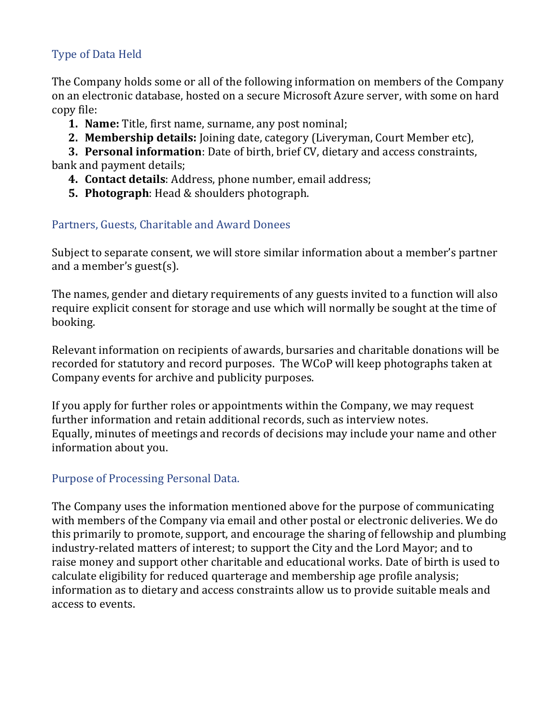# Type of Data Held

The Company holds some or all of the following information on members of the Company on an electronic database, hosted on a secure Microsoft Azure server, with some on hard copy file:

- **1. Name:** Title, first name, surname, any post nominal;
- **2. Membership details:** Joining date, category (Liveryman, Court Member etc),

**3. Personal information**: Date of birth, brief CV, dietary and access constraints, bank and payment details;

- **4. Contact details**: Address, phone number, email address;
- **5. Photograph**: Head & shoulders photograph.

# Partners, Guests, Charitable and Award Donees

Subject to separate consent, we will store similar information about a member's partner and a member's guest(s).

The names, gender and dietary requirements of any guests invited to a function will also require explicit consent for storage and use which will normally be sought at the time of booking.

Relevant information on recipients of awards, bursaries and charitable donations will be recorded for statutory and record purposes. The WCoP will keep photographs taken at Company events for archive and publicity purposes.

If you apply for further roles or appointments within the Company, we may request further information and retain additional records, such as interview notes. Equally, minutes of meetings and records of decisions may include your name and other information about you.

# Purpose of Processing Personal Data.

The Company uses the information mentioned above for the purpose of communicating with members of the Company via email and other postal or electronic deliveries. We do this primarily to promote, support, and encourage the sharing of fellowship and plumbing industry-related matters of interest; to support the City and the Lord Mayor; and to raise money and support other charitable and educational works. Date of birth is used to calculate eligibility for reduced quarterage and membership age profile analysis; information as to dietary and access constraints allow us to provide suitable meals and access to events.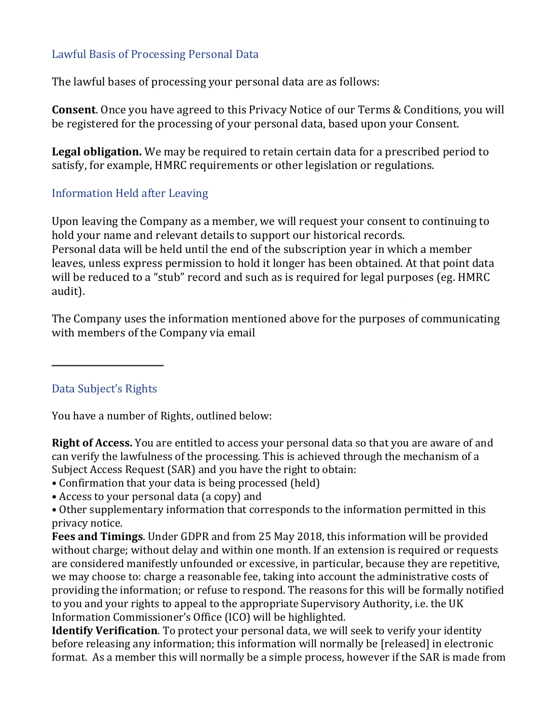## Lawful Basis of Processing Personal Data

The lawful bases of processing your personal data are as follows:

**Consent**. Once you have agreed to this Privacy Notice of our Terms & Conditions, you will be registered for the processing of your personal data, based upon your Consent.

**Legal obligation.** We may be required to retain certain data for a prescribed period to satisfy, for example, HMRC requirements or other legislation or regulations.

## Information Held after Leaving

Upon leaving the Company as a member, we will request your consent to continuing to hold your name and relevant details to support our historical records. Personal data will be held until the end of the subscription year in which a member leaves, unless express permission to hold it longer has been obtained. At that point data will be reduced to a "stub" record and such as is required for legal purposes (eg. HMRC audit).

The Company uses the information mentioned above for the purposes of communicating with members of the Company via email

Data Subject's Rights

You have a number of Rights, outlined below:

**Right of Access.** You are entitled to access your personal data so that you are aware of and can verify the lawfulness of the processing. This is achieved through the mechanism of a Subject Access Request (SAR) and you have the right to obtain:

- Confirmation that your data is being processed (held)
- Access to your personal data (a copy) and

• Other supplementary information that corresponds to the information permitted in this privacy notice.

**Fees and Timings**. Under GDPR and from 25 May 2018, this information will be provided without charge; without delay and within one month. If an extension is required or requests are considered manifestly unfounded or excessive, in particular, because they are repetitive, we may choose to: charge a reasonable fee, taking into account the administrative costs of providing the information; or refuse to respond. The reasons for this will be formally notified to you and your rights to appeal to the appropriate Supervisory Authority, i.e. the UK Information Commissioner's Office (ICO) will be highlighted.

**Identify Verification**. To protect your personal data, we will seek to verify your identity before releasing any information; this information will normally be [released] in electronic format. As a member this will normally be a simple process, however if the SAR is made from